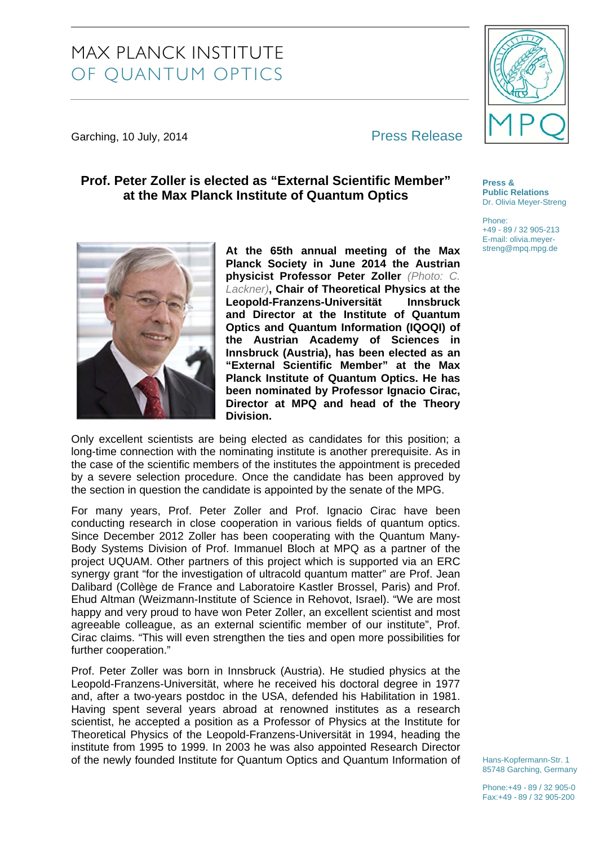# MAX PLANCK INSTITUTE OF QUANTUM OPTICS

Garching, 10 July, 2014 **Press Release** 

## **Prof. Peter Zoller is elected as "External Scientific Member" at the Max Planck Institute of Quantum Optics**

**At the 65th annual meeting of the Max Planck Society in June 2014 the Austrian physicist Professor Peter Zoller** *(Photo: C. Lackner)***, Chair of Theoretical Physics at the Leopold-Franzens-Universität Innsbruck and Director at the Institute of Quantum Optics and Quantum Information (IQOQI) of the Austrian Academy of Sciences in Innsbruck (Austria), has been elected as an "External Scientific Member" at the Max Planck Institute of Quantum Optics. He has been nominated by Professor Ignacio Cirac, Director at MPQ and head of the Theory Division.** 

Only excellent scientists are being elected as candidates for this position; a long-time connection with the nominating institute is another prerequisite. As in the case of the scientific members of the institutes the appointment is preceded by a severe selection procedure. Once the candidate has been approved by the section in question the candidate is appointed by the senate of the MPG.

For many years, Prof. Peter Zoller and Prof. Ignacio Cirac have been conducting research in close cooperation in various fields of quantum optics. Since December 2012 Zoller has been cooperating with the Quantum Many-Body Systems Division of Prof. Immanuel Bloch at MPQ as a partner of the project UQUAM. Other partners of this project which is supported via an ERC synergy grant "for the investigation of ultracold quantum matter" are Prof. Jean Dalibard (Collège de France and Laboratoire Kastler Brossel, Paris) and Prof. Ehud Altman (Weizmann-Institute of Science in Rehovot, Israel). "We are most happy and very proud to have won Peter Zoller, an excellent scientist and most agreeable colleague, as an external scientific member of our institute", Prof. Cirac claims. "This will even strengthen the ties and open more possibilities for further cooperation."

Prof. Peter Zoller was born in Innsbruck (Austria). He studied physics at the Leopold-Franzens-Universität, where he received his doctoral degree in 1977 and, after a two-years postdoc in the USA, defended his Habilitation in 1981. Having spent several years abroad at renowned institutes as a research scientist, he accepted a position as a Professor of Physics at the Institute for Theoretical Physics of the Leopold-Franzens-Universität in 1994, heading the institute from 1995 to 1999. In 2003 he was also appointed Research Director of the newly founded Institute for Quantum Optics and Quantum Information of

Hans-Kopfermann-Str. 1 85748 Garching, Germany



**Press &** 

Phone:

**Public Relations**  Dr. Olivia Meyer-Streng

+49 - 89 / 32 905-213 E-mail: olivia.meyerstreng@mpq.mpg.de